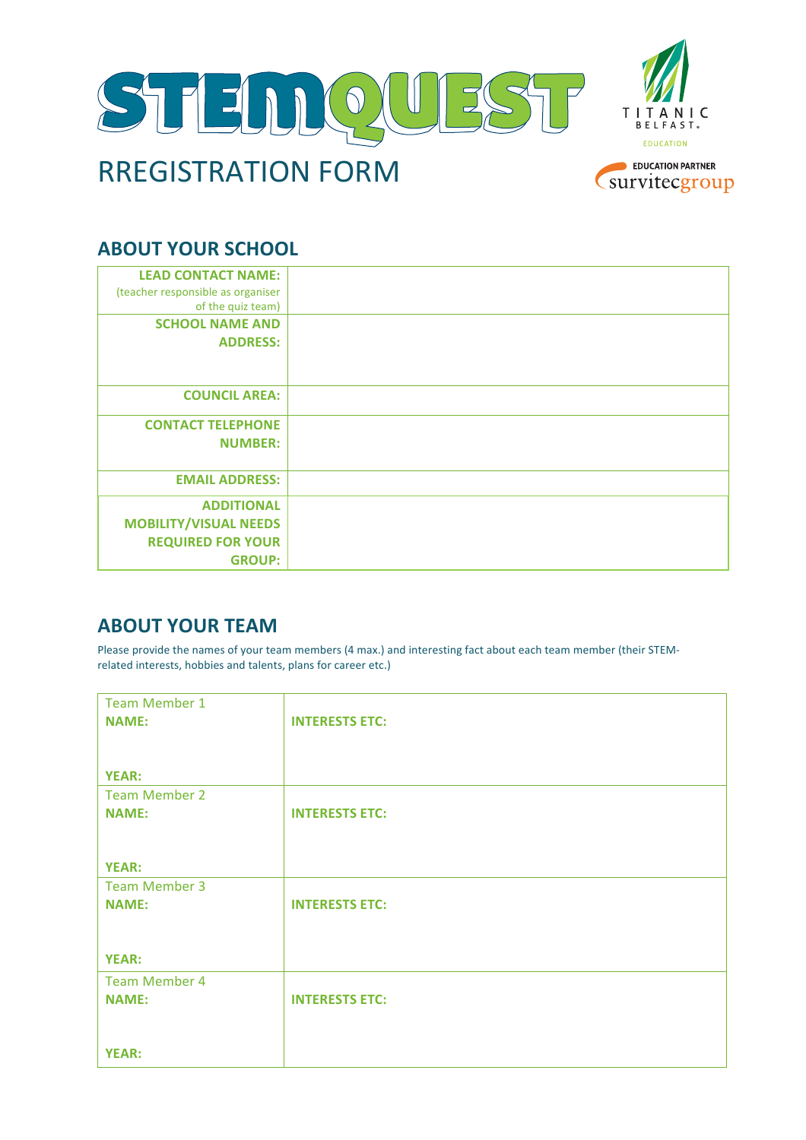

## **ABOUT YOUR SCHOOL**

| <b>LEAD CONTACT NAME:</b><br>(teacher responsible as organiser<br>of the quiz team)            |  |
|------------------------------------------------------------------------------------------------|--|
| <b>SCHOOL NAME AND</b><br><b>ADDRESS:</b>                                                      |  |
| <b>COUNCIL AREA:</b>                                                                           |  |
| <b>CONTACT TELEPHONE</b><br><b>NUMBER:</b>                                                     |  |
| <b>EMAIL ADDRESS:</b>                                                                          |  |
| <b>ADDITIONAL</b><br><b>MOBILITY/VISUAL NEEDS</b><br><b>REQUIRED FOR YOUR</b><br><b>GROUP:</b> |  |

## **ABOUT YOUR TEAM**

Please provide the names of your team members (4 max.) and interesting fact about each team member (their STEMrelated interests, hobbies and talents, plans for career etc.)

| <b>Team Member 1</b> |                       |
|----------------------|-----------------------|
| <b>NAME:</b>         | <b>INTERESTS ETC:</b> |
|                      |                       |
|                      |                       |
| <b>YEAR:</b>         |                       |
| <b>Team Member 2</b> |                       |
| <b>NAME:</b>         | <b>INTERESTS ETC:</b> |
|                      |                       |
|                      |                       |
| <b>YEAR:</b>         |                       |
| <b>Team Member 3</b> |                       |
| <b>NAME:</b>         | <b>INTERESTS ETC:</b> |
|                      |                       |
|                      |                       |
| <b>YEAR:</b>         |                       |
| <b>Team Member 4</b> |                       |
| <b>NAME:</b>         | <b>INTERESTS ETC:</b> |
|                      |                       |
|                      |                       |
| <b>YEAR:</b>         |                       |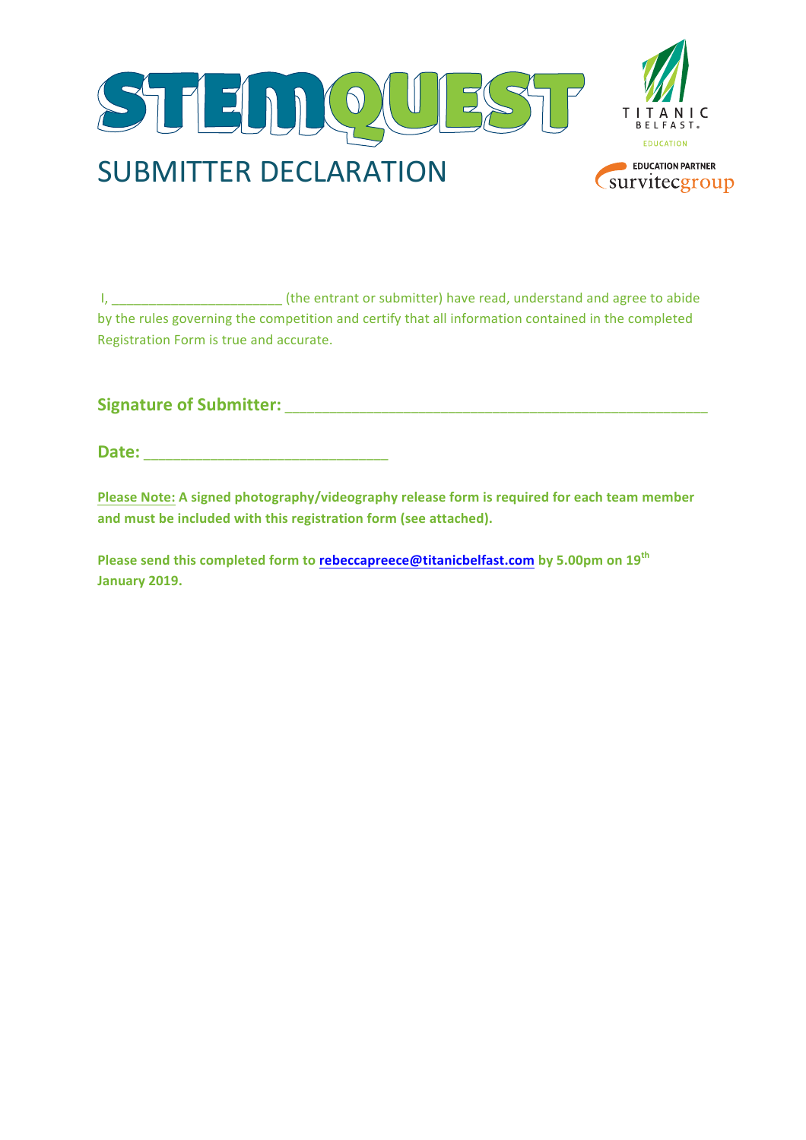

I, \_\_\_\_\_\_\_\_\_\_\_\_\_\_\_\_\_\_\_\_\_\_\_ (the entrant or submitter) have read, understand and agree to abide by the rules governing the competition and certify that all information contained in the completed Registration Form is true and accurate.

**Signature of Submitter: with the set of Submitter**  $\cdot$ 

**Date:**  $\blacksquare$ 

Please Note: A signed photography/videography release form is required for each team member and must be included with this registration form (see attached).

**Please send this completed form to rebeccapreece@titanicbelfast.com by 5.00pm on 19<sup>th</sup> January 2019.**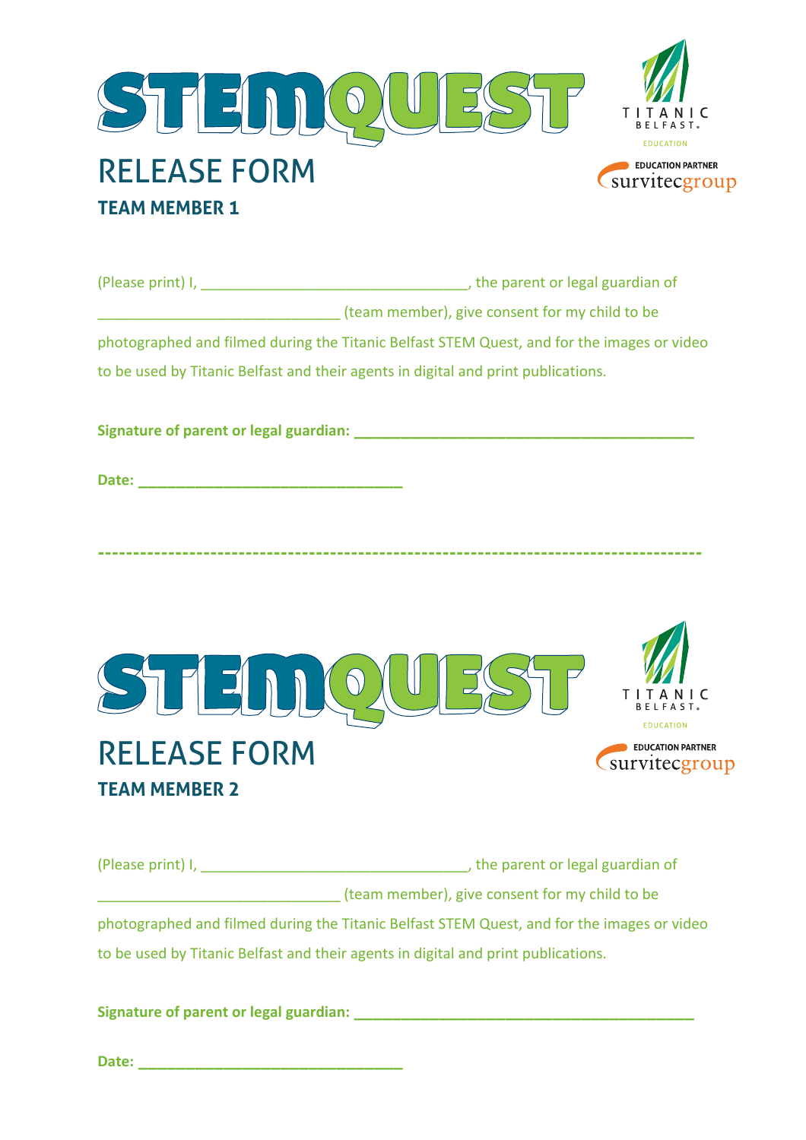

| (Please print) I, | , the parent or legal guardian of                                                          |  |
|-------------------|--------------------------------------------------------------------------------------------|--|
|                   | (team member), give consent for my child to be                                             |  |
|                   | photographed and filmed during the Titanic Belfast STEM Quest, and for the images or video |  |
|                   | to be used by Titanic Belfast and their agents in digital and print publications.          |  |
|                   |                                                                                            |  |

**Signature of parent or legal guardian: \_\_\_\_\_\_\_\_\_\_\_\_\_\_\_\_\_\_\_\_\_\_\_\_\_\_\_\_\_\_\_\_\_\_\_\_**

**Date: \_\_\_\_\_\_\_\_\_\_\_\_\_\_\_\_\_\_\_\_\_\_\_\_\_\_\_\_**



**--------------------------------------------------------------------------------------**

(Please print) I, \_\_\_\_\_\_\_\_\_\_\_\_\_\_\_\_\_\_\_\_\_\_\_\_\_\_\_\_\_\_\_\_\_, the parent or legal guardian of \_\_\_\_\_\_\_\_\_\_\_\_\_\_\_\_\_\_\_\_\_\_\_\_\_\_\_\_\_\_ (team member), give consent for my child to be photographed and filmed during the Titanic Belfast STEM Quest, and for the images or video to be used by Titanic Belfast and their agents in digital and print publications.

**Signature of parent or legal guardian: \_\_\_\_\_\_\_\_\_\_\_\_\_\_\_\_\_\_\_\_\_\_\_\_\_\_\_\_\_\_\_\_\_\_\_\_**

**Date: \_\_\_\_\_\_\_\_\_\_\_\_\_\_\_\_\_\_\_\_\_\_\_\_\_\_\_\_**